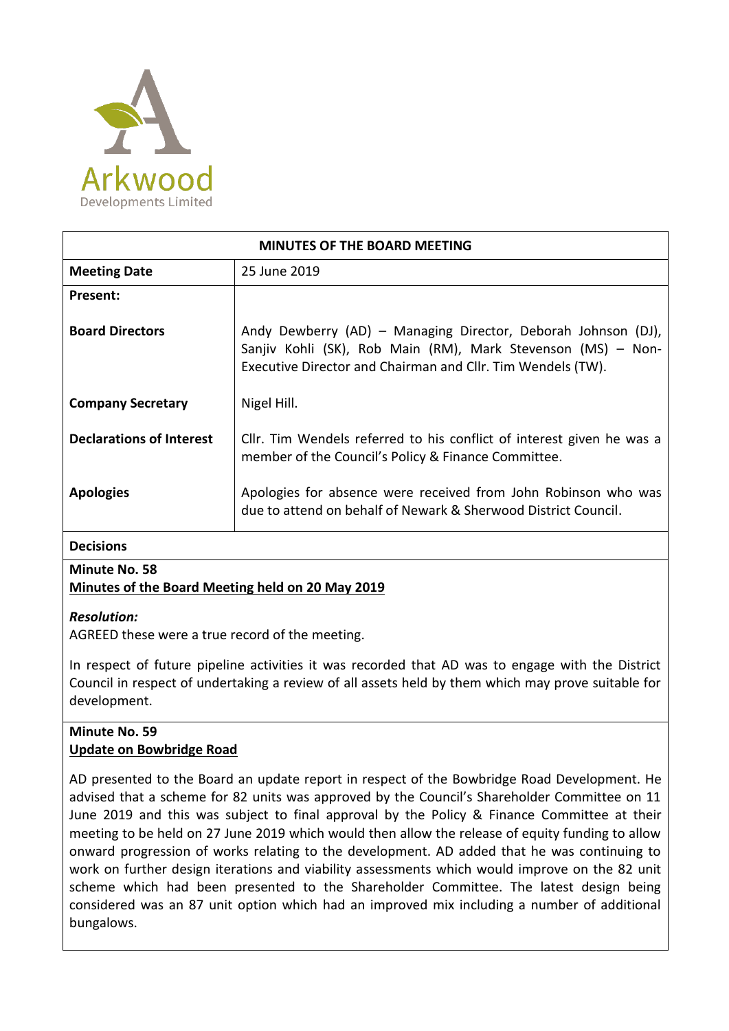

| <b>MINUTES OF THE BOARD MEETING</b> |                                                                                                                                                                                              |
|-------------------------------------|----------------------------------------------------------------------------------------------------------------------------------------------------------------------------------------------|
| <b>Meeting Date</b>                 | 25 June 2019                                                                                                                                                                                 |
| Present:                            |                                                                                                                                                                                              |
| <b>Board Directors</b>              | Andy Dewberry (AD) - Managing Director, Deborah Johnson (DJ),<br>Sanjiv Kohli (SK), Rob Main (RM), Mark Stevenson (MS) - Non-<br>Executive Director and Chairman and Cllr. Tim Wendels (TW). |
| <b>Company Secretary</b>            | Nigel Hill.                                                                                                                                                                                  |
| <b>Declarations of Interest</b>     | Cllr. Tim Wendels referred to his conflict of interest given he was a<br>member of the Council's Policy & Finance Committee.                                                                 |
| <b>Apologies</b>                    | Apologies for absence were received from John Robinson who was<br>due to attend on behalf of Newark & Sherwood District Council.                                                             |
| <b>Decisions</b>                    |                                                                                                                                                                                              |

# **Minute No. 58**

## **Minutes of the Board Meeting held on 20 May 2019**

#### *Resolution:*

AGREED these were a true record of the meeting.

In respect of future pipeline activities it was recorded that AD was to engage with the District Council in respect of undertaking a review of all assets held by them which may prove suitable for development.

## **Minute No. 59 Update on Bowbridge Road**

AD presented to the Board an update report in respect of the Bowbridge Road Development. He advised that a scheme for 82 units was approved by the Council's Shareholder Committee on 11 June 2019 and this was subject to final approval by the Policy & Finance Committee at their meeting to be held on 27 June 2019 which would then allow the release of equity funding to allow onward progression of works relating to the development. AD added that he was continuing to work on further design iterations and viability assessments which would improve on the 82 unit scheme which had been presented to the Shareholder Committee. The latest design being considered was an 87 unit option which had an improved mix including a number of additional bungalows.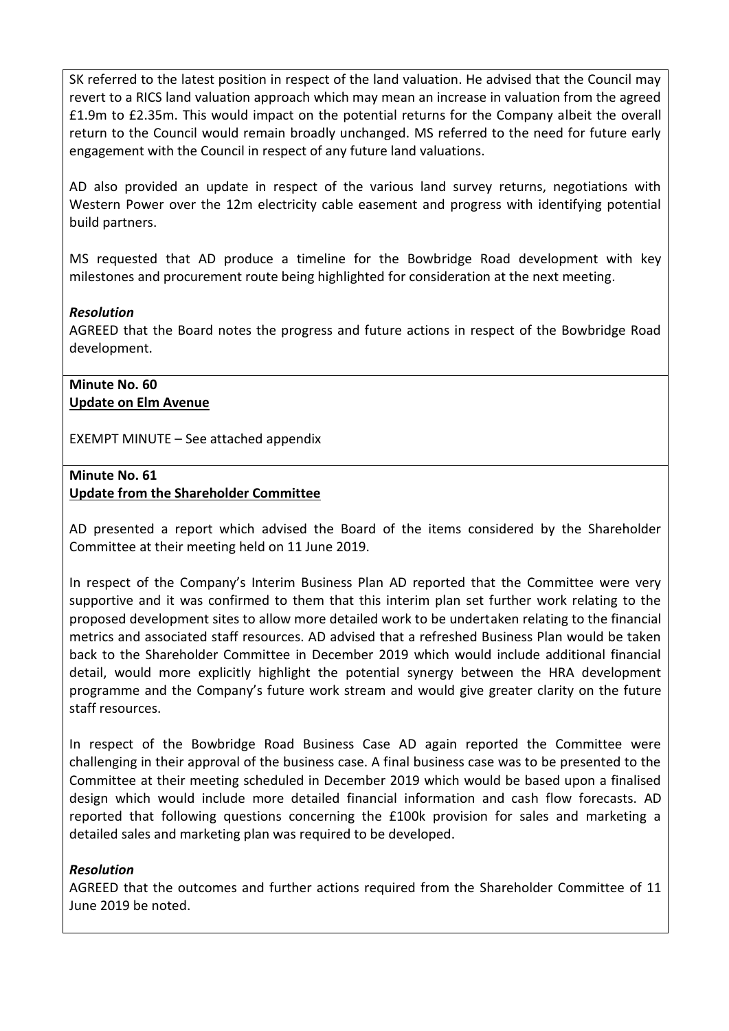SK referred to the latest position in respect of the land valuation. He advised that the Council may revert to a RICS land valuation approach which may mean an increase in valuation from the agreed £1.9m to £2.35m. This would impact on the potential returns for the Company albeit the overall return to the Council would remain broadly unchanged. MS referred to the need for future early engagement with the Council in respect of any future land valuations.

AD also provided an update in respect of the various land survey returns, negotiations with Western Power over the 12m electricity cable easement and progress with identifying potential build partners.

MS requested that AD produce a timeline for the Bowbridge Road development with key milestones and procurement route being highlighted for consideration at the next meeting.

#### *Resolution*

AGREED that the Board notes the progress and future actions in respect of the Bowbridge Road development.

# **Minute No. 60 Update on Elm Avenue**

EXEMPT MINUTE – See attached appendix

#### **Minute No. 61 Update from the Shareholder Committee**

AD presented a report which advised the Board of the items considered by the Shareholder Committee at their meeting held on 11 June 2019.

In respect of the Company's Interim Business Plan AD reported that the Committee were very supportive and it was confirmed to them that this interim plan set further work relating to the proposed development sites to allow more detailed work to be undertaken relating to the financial metrics and associated staff resources. AD advised that a refreshed Business Plan would be taken back to the Shareholder Committee in December 2019 which would include additional financial detail, would more explicitly highlight the potential synergy between the HRA development programme and the Company's future work stream and would give greater clarity on the future staff resources.

In respect of the Bowbridge Road Business Case AD again reported the Committee were challenging in their approval of the business case. A final business case was to be presented to the Committee at their meeting scheduled in December 2019 which would be based upon a finalised design which would include more detailed financial information and cash flow forecasts. AD reported that following questions concerning the £100k provision for sales and marketing a detailed sales and marketing plan was required to be developed.

## *Resolution*

AGREED that the outcomes and further actions required from the Shareholder Committee of 11 June 2019 be noted.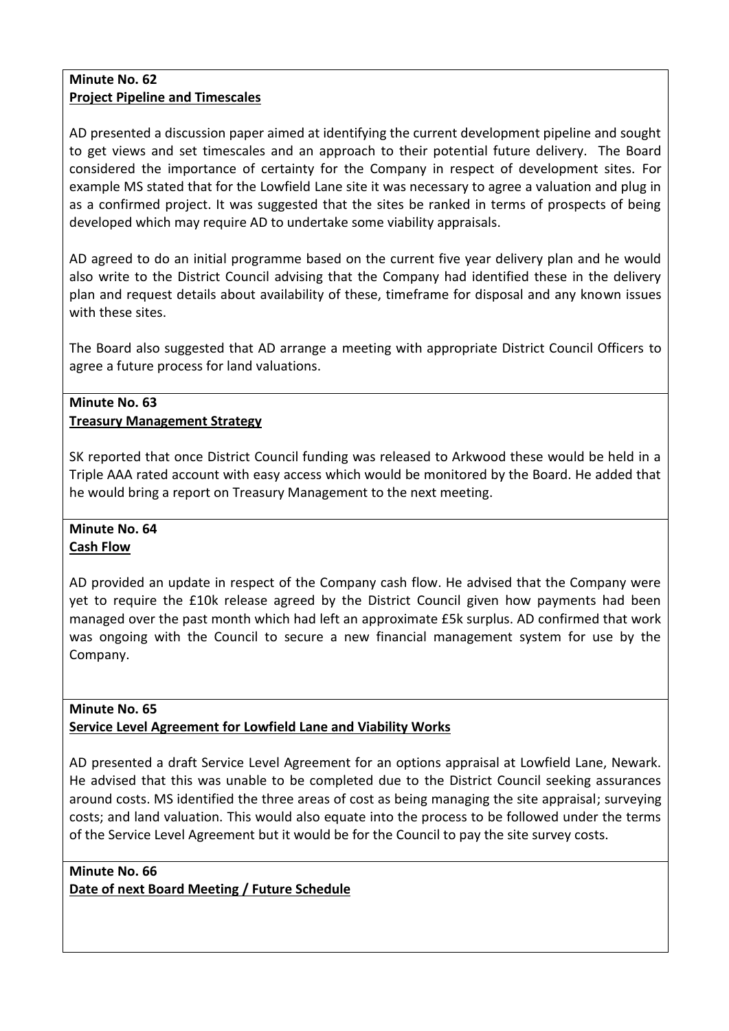#### **Minute No. 62 Project Pipeline and Timescales**

AD presented a discussion paper aimed at identifying the current development pipeline and sought to get views and set timescales and an approach to their potential future delivery. The Board considered the importance of certainty for the Company in respect of development sites. For example MS stated that for the Lowfield Lane site it was necessary to agree a valuation and plug in as a confirmed project. It was suggested that the sites be ranked in terms of prospects of being developed which may require AD to undertake some viability appraisals.

AD agreed to do an initial programme based on the current five year delivery plan and he would also write to the District Council advising that the Company had identified these in the delivery plan and request details about availability of these, timeframe for disposal and any known issues with these sites.

The Board also suggested that AD arrange a meeting with appropriate District Council Officers to agree a future process for land valuations.

## **Minute No. 63 Treasury Management Strategy**

SK reported that once District Council funding was released to Arkwood these would be held in a Triple AAA rated account with easy access which would be monitored by the Board. He added that he would bring a report on Treasury Management to the next meeting.

# **Minute No. 64 Cash Flow**

AD provided an update in respect of the Company cash flow. He advised that the Company were yet to require the £10k release agreed by the District Council given how payments had been managed over the past month which had left an approximate £5k surplus. AD confirmed that work was ongoing with the Council to secure a new financial management system for use by the Company.

#### **Minute No. 65 Service Level Agreement for Lowfield Lane and Viability Works**

AD presented a draft Service Level Agreement for an options appraisal at Lowfield Lane, Newark. He advised that this was unable to be completed due to the District Council seeking assurances around costs. MS identified the three areas of cost as being managing the site appraisal; surveying costs; and land valuation. This would also equate into the process to be followed under the terms of the Service Level Agreement but it would be for the Council to pay the site survey costs.

**Minute No. 66 Date of next Board Meeting / Future Schedule**